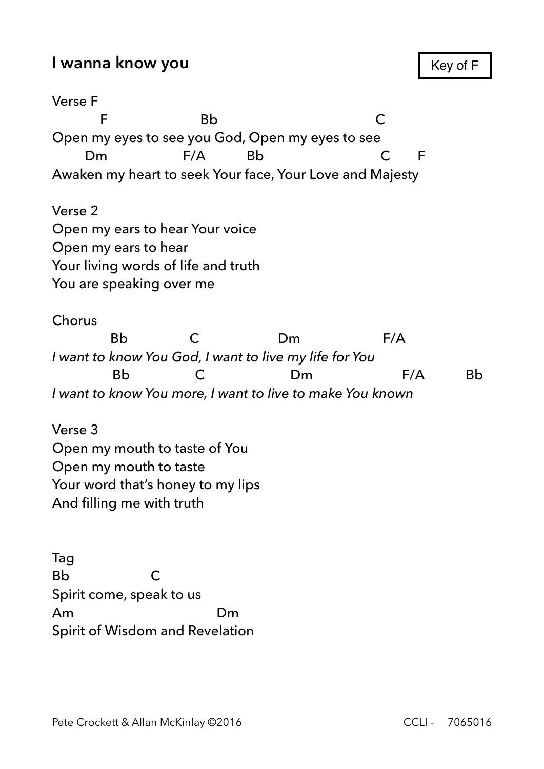Verse F F Bb C Open my eyes to see you God, Open my eyes to see Dm F/A Bb C F Awaken my heart to seek Your face, Your Love and Majesty Verse 2 Open my ears to hear Your voice Open my ears to hear Your living words of life and truth You are speaking over me Chorus Bb C Dm F/A *I want to know You God, I want to live my life for You*  Bb C Dm F/A Bb

*I want to know You more, I want to live to make You known* 

Verse 3 Open my mouth to taste of You Open my mouth to taste Your word that's honey to my lips And filling me with truth

Tag Bb C Spirit come, speak to us Am Dm Spirit of Wisdom and Revelation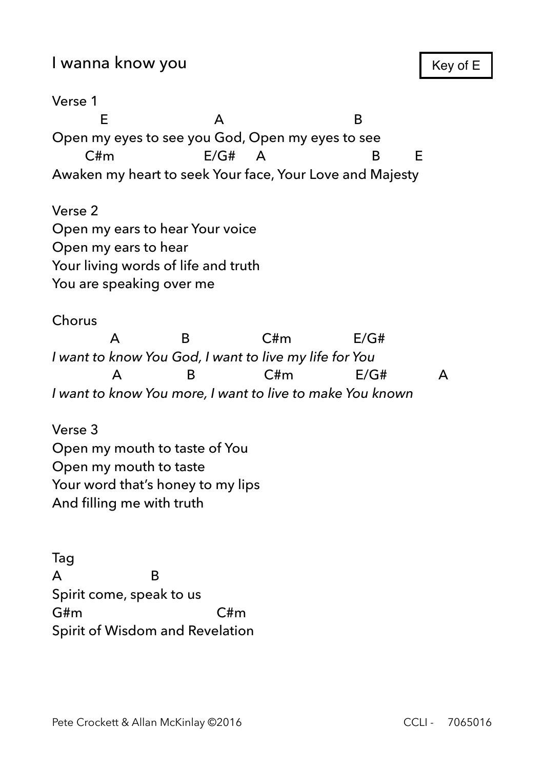Verse 1 E A B Open my eyes to see you God, Open my eyes to see C#m E/G# A B E Awaken my heart to seek Your face, Your Love and Majesty

Verse 2 Open my ears to hear Your voice Open my ears to hear Your living words of life and truth You are speaking over me

Chorus

 A B C#m E/G# *I want to know You God, I want to live my life for You*  A B C#m E/G# A *I want to know You more, I want to live to make You known* 

Verse 3 Open my mouth to taste of You Open my mouth to taste Your word that's honey to my lips And filling me with truth

Tag A B Spirit come, speak to us G#m C#m Spirit of Wisdom and Revelation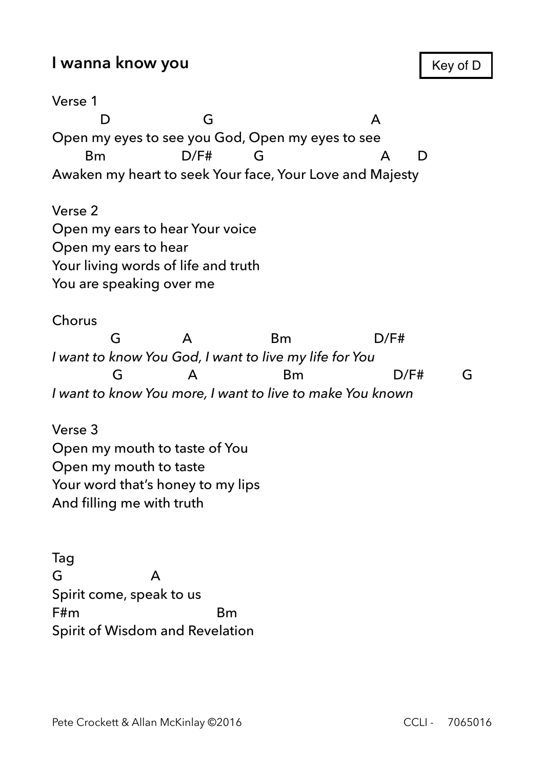Verse 1 D G A Open my eyes to see you God, Open my eyes to see Bm D/F# G A D Awaken my heart to seek Your face, Your Love and Majesty Verse 2

Open my ears to hear Your voice Open my ears to hear Your living words of life and truth You are speaking over me

Chorus

 G A Bm D/F# *I want to know You God, I want to live my life for You*  G A Bm D/F# G *I want to know You more, I want to live to make You known* 

Verse 3 Open my mouth to taste of You Open my mouth to taste Your word that's honey to my lips And filling me with truth

Tag G A Spirit come, speak to us F#m Bm Spirit of Wisdom and Revelation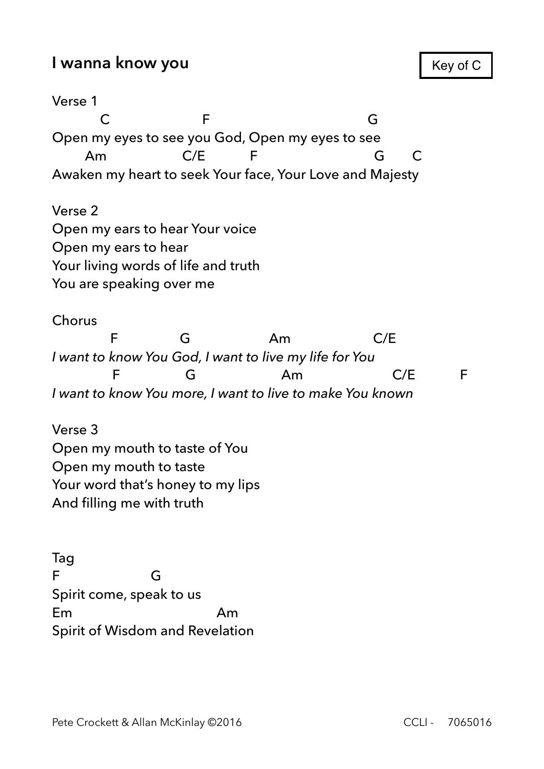Verse 1 C F G Open my eyes to see you God, Open my eyes to see Am C/E F G C Awaken my heart to seek Your face, Your Love and Majesty Verse 2 Open my ears to hear Your voice Open my ears to hear Your living words of life and truth You are speaking over me Chorus F G Am C/E *I want to know You God, I want to live my life for You*  F G Am C/E F *I want to know You more, I want to live to make You known*  Verse 3

Open my mouth to taste of You Open my mouth to taste Your word that's honey to my lips And filling me with truth

Tag F G Spirit come, speak to us Em Am Spirit of Wisdom and Revelation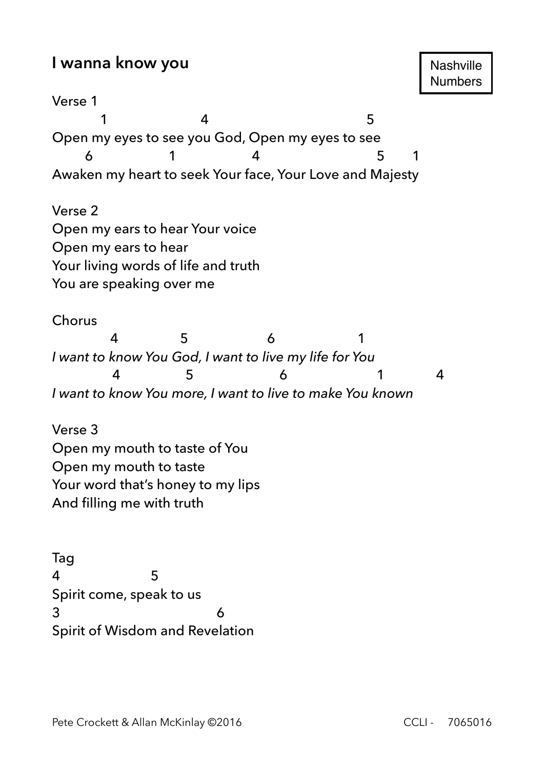Verse 1 1 4 5 Open my eyes to see you God, Open my eyes to see 6 1 4 5 1 Awaken my heart to seek Your face, Your Love and Majesty Verse 2 Open my ears to hear Your voice Open my ears to hear Your living words of life and truth You are speaking over me Chorus 4 5 6 1 *I want to know You God, I want to live my life for You*  4 5 6 1 4 *I want to know You more, I want to live to make You known*  Verse 3 Open my mouth to taste of You Open my mouth to taste Your word that's honey to my lips

Tag 4 5 Spirit come, speak to us 3 6 Spirit of Wisdom and Revelation

And filling me with truth

**Nashville** Numbers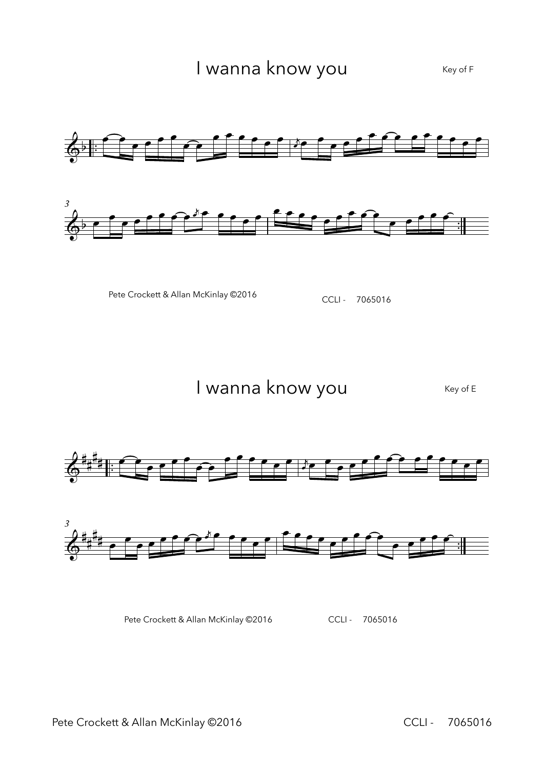



Pete Crockett & Allan McKinlay ©2016 CCLI - 7065016

I wanna know you Key of E



Pete Crockett & Allan McKinlay ©2016 CCLI - 7065016